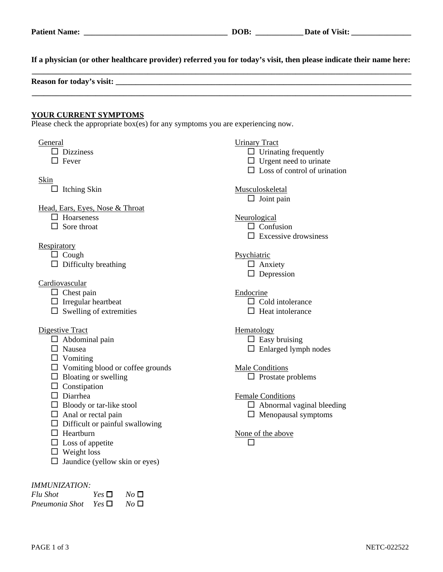| Patient N<br><sup>*</sup> Name: | OOB. | <b>Date</b><br>$^{\prime}$ isit:<br>-01 |
|---------------------------------|------|-----------------------------------------|
|                                 |      |                                         |

**If a physician (or other healthcare provider) referred you for today's visit, then please indicate their name here:**

| Reason for today's visit: |  |  |
|---------------------------|--|--|
|                           |  |  |
|                           |  |  |

## **YOUR CURRENT SYMPTOMS**

Please check the appropriate box(es) for any symptoms you are experiencing now.

| Musculoskeletal<br>$\Box$ Joint pain                                                       |
|--------------------------------------------------------------------------------------------|
|                                                                                            |
| Neurological<br>$\Box$ Confusion<br>$\Box$ Excessive drowsiness                            |
| Psychiatric<br>$\Box$ Anxiety<br>$\Box$ Depression                                         |
| Endocrine<br>$\Box$ Cold intolerance<br>$\Box$ Heat intolerance                            |
| Hematology<br>$\Box$ Easy bruising<br>$\Box$ Enlarged lymph nodes                          |
| <b>Male Conditions</b><br>$\Box$ Prostate problems                                         |
| <b>Female Conditions</b><br>$\Box$ Abnormal vaginal bleeding<br>$\Box$ Menopausal symptoms |
| None of the above                                                                          |
|                                                                                            |

*Flu Shot*  $Yes \Box No \Box$ *Pneumonia Shot*  $Yes \Box No \Box$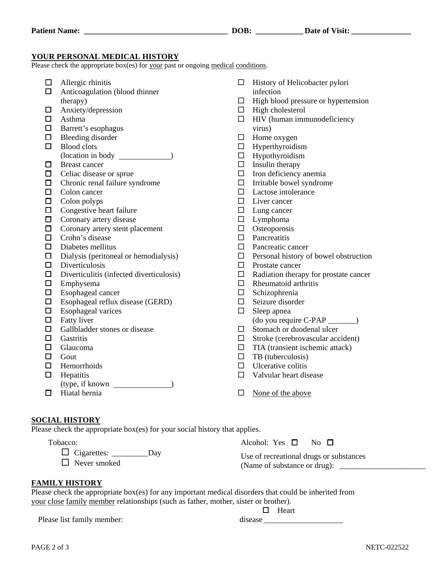## **YOUR PERSONAL MEDICAL HISTORY**

Please check the appropriate box(es) for your past or ongoing medical conditions.

- $\Box$  Allergic rhinitis  $\Box$  Anticoagulation (blood thinner therapy)  $\Box$  Anxiety/depression Asthma  $\Box$  Barrett's esophagus  $\Box$  Bleeding disorder  $\Box$  Blood clots (location in body ) □ Breast cancer  $\Box$  Celiac disease or sprue  $\Box$  Chronic renal failure syndrome □ Colon cancer  $\Box$  Colon polyps  $\Box$  Congestive heart failure  $\Box$  Coronary artery disease  $\Box$  Coronary artery stent placement  $\Box$  Crohn's disease  $\square$  Diabetes mellitus  $\square$  Dialysis (peritoneal or hemodialysis)  $\square$  Diverticulosis  $\square$  Diverticulitis (infected diverticulosis)  $\square$  Emphysema  $\Box$  Esophageal cancer  $\square$  Esophageal reflux disease (GERD)  $\square$  Esophageal varices  $\Box$  Fatty liver  $\Box$  Gallbladder stones or disease  $\Box$  Gastritis  $\Box$  Glaucoma  $\Box$  Gout  $\Box$  Hemorrhoids  $\Box$  Hepatitis (type, if known )  $\Box$  Hiatal hernia  $\Box$  History of Helicobacter pylori infection  $\Box$  High blood pressure or hypertension  $\Box$  High cholesterol  $\Box$  HIV (human immunodeficiency virus)  $\Box$  Home oxygen  $\Box$  Hyperthyroidism  $\Box$  Hypothyroidism  $\Box$  Insulin therapy  $\Box$  Iron deficiency anemia  $\Box$  Irritable bowel syndrome  $\square$  Lactose intolerance  $\Box$  Liver cancer  $\Box$  Lung cancer  $\square$  Lymphoma  $\Box$  Osteoporosis  $\Box$  Pancreatitis  $\square$  Pancreatic cancer  $\Box$  Personal history of bowel obstruction  $\Box$  Prostate cancer  $\Box$  Radiation therapy for prostate cancer  $\Box$  Rheumatoid arthritis  $\square$  Schizophrenia  $\Box$  Seizure disorder  $\Box$  Sleep apnea (do you require C-PAP \_\_\_\_\_\_\_)  $\Box$  Stomach or duodenal ulcer  $\Box$  Stroke (cerebrovascular accident)  $\Box$  TIA (transient ischemic attack)  $\Box$  TB (tuberculosis)  $\Box$  Ulcerative colitis  $\Box$  Valvular heart disease  $\Box$  None of the above
- **SOCIAL HISTORY**

Please check the appropriate box(es) for your social history that applies.

Tobacco:

**FAMILY HISTORY**

Cigarettes: \_\_\_\_\_\_\_\_\_Day

 $\Box$  Never smoked

| Please check the appropriate box(es) for any important medical disorders that could be inherited from |  |
|-------------------------------------------------------------------------------------------------------|--|
| your close family member relationships (such as father, mother, sister or brother).                   |  |

Please list family member: disease

|         | Heart |
|---------|-------|
| disease |       |

Use of recreational drugs or substances (Name of substance or drug):

Alcohol: Yes  $\Box$  No  $\Box$